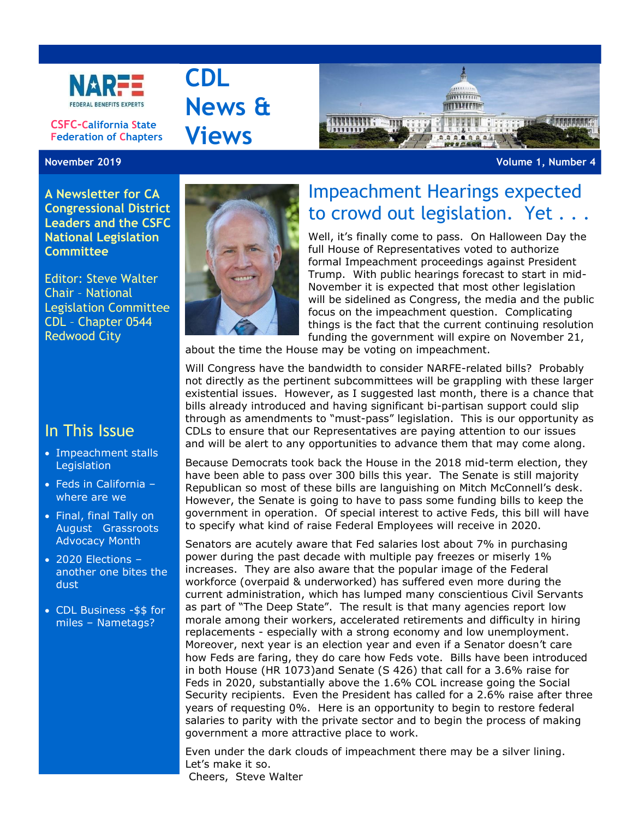

**CSFC-California State Federation of Chapters**

#### **November 2019 Volume 1, Number 4**

**A Newsletter for CA Congressional District Leaders and the CSFC National Legislation Committee**

Editor: Steve Walter Chair – National Legislation Committee CDL – Chapter 0544 Redwood City

### In This Issue

- Impeachment stalls **Legislation**
- Feds in California where are we
- Final, final Tally on August Grassroots Advocacy Month
- $\bullet$  2020 Elections another one bites the dust
- CDL Business -\$\$ for miles – Nametags?



**CDL**

**News &**

**Views**

## Impeachment Hearings expected to crowd out legislation. Yet . . .

**CONTRACTO TITUTTET** 

Well, it's finally come to pass. On Halloween Day the full House of Representatives voted to authorize formal Impeachment proceedings against President Trump. With public hearings forecast to start in mid-November it is expected that most other legislation will be sidelined as Congress, the media and the public focus on the impeachment question. Complicating things is the fact that the current continuing resolution funding the government will expire on November 21,

about the time the House may be voting on impeachment.

Will Congress have the bandwidth to consider NARFE-related bills? Probably not directly as the pertinent subcommittees will be grappling with these larger existential issues. However, as I suggested last month, there is a chance that bills already introduced and having significant bi-partisan support could slip through as amendments to "must-pass" legislation. This is our opportunity as CDLs to ensure that our Representatives are paying attention to our issues and will be alert to any opportunities to advance them that may come along.

Because Democrats took back the House in the 2018 mid-term election, they have been able to pass over 300 bills this year. The Senate is still majority Republican so most of these bills are languishing on Mitch McConnell's desk. However, the Senate is going to have to pass some funding bills to keep the government in operation. Of special interest to active Feds, this bill will have to specify what kind of raise Federal Employees will receive in 2020.

Senators are acutely aware that Fed salaries lost about 7% in purchasing power during the past decade with multiple pay freezes or miserly 1% increases. They are also aware that the popular image of the Federal workforce (overpaid & underworked) has suffered even more during the current administration, which has lumped many conscientious Civil Servants as part of "The Deep State". The result is that many agencies report low morale among their workers, accelerated retirements and difficulty in hiring replacements - especially with a strong economy and low unemployment. Moreover, next year is an election year and even if a Senator doesn't care how Feds are faring, they do care how Feds vote. Bills have been introduced in both House (HR 1073)and Senate (S 426) that call for a 3.6% raise for Feds in 2020, substantially above the 1.6% COL increase going the Social Security recipients. Even the President has called for a 2.6% raise after three years of requesting 0%. Here is an opportunity to begin to restore federal salaries to parity with the private sector and to begin the process of making government a more attractive place to work.

Even under the dark clouds of impeachment there may be a silver lining. Let's make it so. Cheers, Steve Walter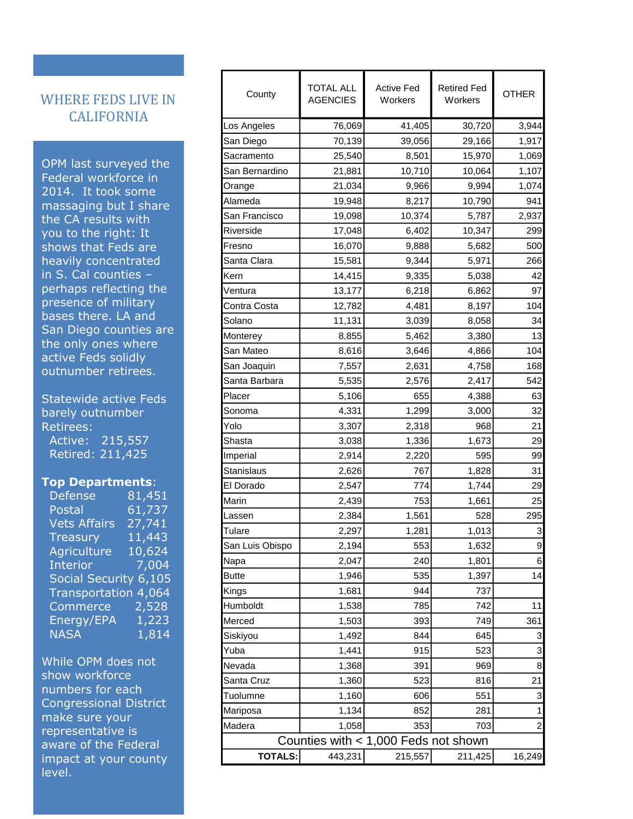#### WHERE FEDS LIVE IN CALIFORNIA

OPM last surveyed the Federal workforce in 2014. It took some massaging but I share the CA results with you to the right: It shows that Feds are heavily concentrated in S. Cal counties – perhaps reflecting the presence of military bases there. LA and San Diego counties are the only ones where active Feds solidly outnumber retirees.

Statewide active Feds barely outnumber Retirees: Active: 215,557 Retired: 211,425

#### **Top Departments**:

| <b>Defense</b>              | 81,451 |
|-----------------------------|--------|
| <b>Postal</b>               | 61,737 |
| <b>Vets Affairs</b>         | 27,741 |
| Treasury                    | 11,443 |
| Agriculture                 | 10,624 |
| Interior                    | 7,004  |
| Social Security 6,105       |        |
| <b>Transportation 4,064</b> |        |
| Commerce                    | 2,528  |
| Energy/EPA                  | 1,223  |
| <b>NASA</b>                 | 1,814  |

While OPM does not show workforce numbers for each Congressional District make sure your representative is aware of the Federal impact at your county level.

| County                                 | <b>TOTAL ALL</b><br><b>AGENCIES</b> | <b>Active Fed</b><br>Workers | <b>Retired Fed</b><br>Workers | <b>OTHER</b>   |
|----------------------------------------|-------------------------------------|------------------------------|-------------------------------|----------------|
| Los Angeles                            | 76,069                              | 41,405                       | 30,720                        | 3,944          |
| San Diego                              | 70,139                              | 39,056                       | 29,166                        | 1,917          |
| Sacramento                             | 25,540                              | 8,501                        | 15,970                        | 1,069          |
| San Bernardino                         | 21,881                              | 10,710                       | 10,064                        | 1,107          |
| Orange                                 | 21,034                              | 9,966                        | 9,994                         | 1,074          |
| Alameda                                | 19,948                              | 8,217                        | 10,790                        | 941            |
| San Francisco                          | 19,098                              | 10,374                       | 5,787                         | 2,937          |
| Riverside                              | 17,048                              | 6,402                        | 10,347                        | 299            |
| Fresno                                 | 16,070                              | 9,888                        | 5,682                         | 500            |
| Santa Clara                            | 15,581                              | 9,344                        | 5,971                         | 266            |
| Kern                                   | 14,415                              | 9,335                        | 5,038                         | 42             |
| Ventura                                | 13,177                              | 6,218                        | 6,862                         | 97             |
| Contra Costa                           | 12,782                              | 4,481                        | 8,197                         | 104            |
| Solano                                 | 11,131                              | 3,039                        | 8,058                         | 34             |
| Monterey                               | 8,855                               | 5,462                        | 3,380                         | 13             |
| San Mateo                              | 8,616                               | 3,646                        | 4,866                         | 104            |
| San Joaquin                            | 7,557                               | 2,631                        | 4,758                         | 168            |
| Santa Barbara                          | 5,535                               | 2,576                        | 2,417                         | 542            |
| Placer                                 | 5,106                               | 655                          | 4,388                         | 63             |
| Sonoma                                 | 4,331                               | 1,299                        | 3,000                         | 32             |
| Yolo                                   | 3,307                               | 2,318                        | 968                           | 21             |
| Shasta                                 | 3,038                               | 1,336                        | 1,673                         | 29             |
| Imperial                               | 2,914                               | 2,220                        | 595                           | 99             |
| Stanislaus                             | 2,626                               | 767                          | 1,828                         | 31             |
| El Dorado                              | 2,547                               | 774                          | 1,744                         | 29             |
| Marin                                  | 2,439                               | 753                          | 1,661                         | 25             |
| Lassen                                 | 2,384                               | 1,561                        | 528                           | 295            |
| Tulare                                 | 2,297                               | 1,281                        | 1,013                         | 3              |
| San Luis Obispo                        | 2,194                               | 553                          | 1,632                         | 9              |
| Napa                                   | 2,047                               | 240                          | 1,801                         | 6              |
| <b>Butte</b>                           | 1,946                               | 535                          | 1,397                         | 14             |
| Kings                                  | 1,681                               | 944                          | 737                           |                |
| Humboldt                               | 1,538                               | 785                          | 742                           | 11             |
| Merced                                 | 1,503                               | 393                          | 749                           | 361            |
| Siskiyou                               | 1,492                               | 844                          | 645                           | 3              |
| Yuba                                   | 1,441                               | 915                          | 523                           | 3              |
| Nevada                                 | 1,368                               | 391                          | 969                           | 8              |
| Santa Cruz                             | 1,360                               | 523                          | 816                           | 21             |
| Tuolumne                               | 1,160                               | 606                          | 551                           | $\mathbf{3}$   |
| Mariposa                               | 1,134                               | 852                          | 281                           | $\mathbf{1}$   |
| Madera                                 | 1,058                               | 353                          | 703                           | $\overline{2}$ |
| Counties with $<$ 1,000 Feds not shown |                                     |                              |                               |                |
| <b>TOTALS:</b>                         | 443,231                             | 215,557                      | 211,425                       | 16,249         |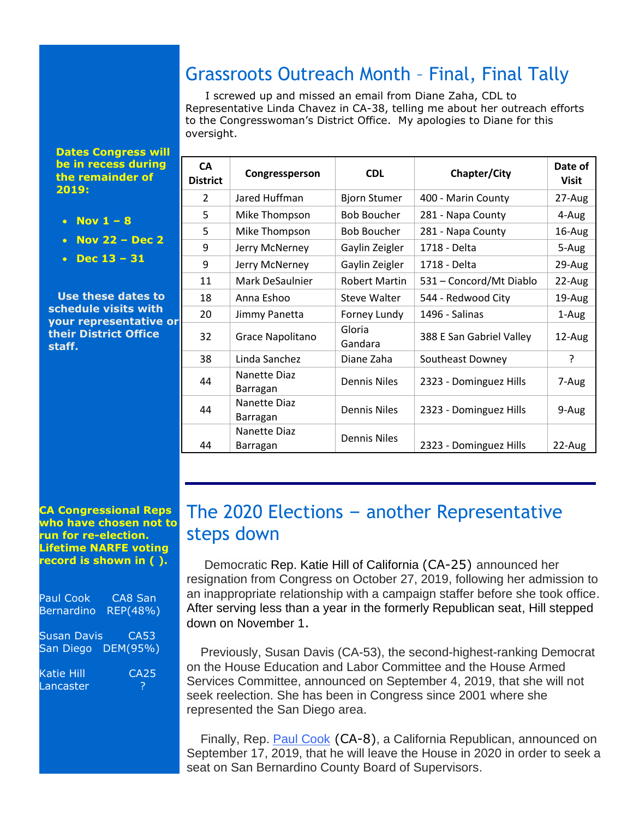# Grassroots Outreach Month – Final, Final Tally

I screwed up and missed an email from Diane Zaha, CDL to Representative Linda Chavez in CA-38, telling me about her outreach efforts to the Congresswoman's District Office. My apologies to Diane for this oversight.

**Dates Congress will be in recess during the remainder of 2019:**

- **Nov 1 – 8**
- **Nov 22 – Dec 2**
- **Dec 13 – 31**

**Use these dates to schedule visits with your representative or their District Office staff.**

| who have chosen not to<br>run for re-election.<br><b>Lifetime NARFE voting</b><br>record is shown in (). |  |  |
|----------------------------------------------------------------------------------------------------------|--|--|
| Paul Cook<br>CA8 San<br>Bernardino REP(48%)                                                              |  |  |
| Susan Davis<br>CA53<br>San Diego DEM(95%)                                                                |  |  |
| <b>Katie Hill</b><br>CA25<br>Lancaster                                                                   |  |  |

**CA Congressional Reps** 

| <b>CA</b><br><b>District</b> | Congressperson           | <b>CDL</b>           | <b>Chapter/City</b>      | Date of<br><b>Visit</b> |
|------------------------------|--------------------------|----------------------|--------------------------|-------------------------|
| $\mathcal{P}$                | Jared Huffman            | <b>Bjorn Stumer</b>  | 400 - Marin County       | 27-Aug                  |
| 5                            | Mike Thompson            | <b>Bob Boucher</b>   | 281 - Napa County        | 4-Aug                   |
| 5                            | Mike Thompson            | <b>Bob Boucher</b>   | 281 - Napa County        | 16-Aug                  |
| 9                            | Jerry McNerney           | Gaylin Zeigler       | 1718 - Delta             | 5-Aug                   |
| 9                            | Jerry McNerney           | Gaylin Zeigler       | 1718 - Delta             | 29-Aug                  |
| 11                           | Mark DeSaulnier          | <b>Robert Martin</b> | 531 - Concord/Mt Diablo  | 22-Aug                  |
| 18                           | Anna Eshoo               | Steve Walter         | 544 - Redwood City       | 19-Aug                  |
| 20                           | Jimmy Panetta            | Forney Lundy         | 1496 - Salinas           | 1-Aug                   |
| 32                           | Grace Napolitano         | Gloria<br>Gandara    | 388 E San Gabriel Valley | 12-Aug                  |
| 38                           | Linda Sanchez            | Diane Zaha           | Southeast Downey         | ?                       |
| 44                           | Nanette Diaz<br>Barragan | Dennis Niles         | 2323 - Dominguez Hills   | 7-Aug                   |
| 44                           | Nanette Diaz<br>Barragan | <b>Dennis Niles</b>  | 2323 - Dominguez Hills   | 9-Aug                   |
| 44                           | Nanette Diaz<br>Barragan | <b>Dennis Niles</b>  | 2323 - Dominguez Hills   | 22-Aug                  |

# The 2020 Elections – another Representative steps down

Democratic [Rep. Katie Hill of California](https://www.cnn.com/2019/10/27/politics/katie-hill-announces-resignation/index.html) (CA-25) announced her resignation from Congress on October 27, 2019, following her admission to an inappropriate relationship with a campaign staffer before she took office. After serving less than a year in the formerly Republican seat, Hill stepped down on November 1.

Previously, Susan Davis (CA-53), the second-highest-ranking Democrat on the House Education and Labor Committee and the House Armed Services Committee, announced on September 4, 2019, that she will not seek reelection. She has been in Congress since 2001 where she represented the San Diego area.

Finally, Rep. [Paul Cook](http://www.cnn.com/2019/09/17/politics/paul-cook-retirement/index.html) (CA-8), a California Republican, announced on September 17, 2019, that he will leave the House in 2020 in order to seek a seat on San Bernardino County Board of Supervisors.